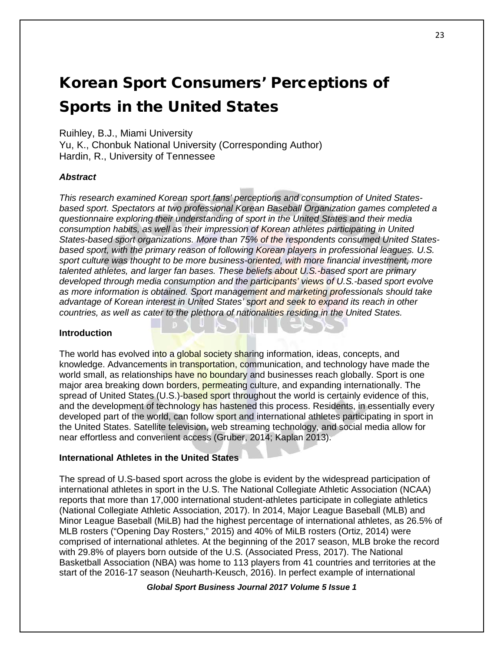# Korean Sport Consumers' Perceptions of Sports in the United States

Ruihley, B.J., Miami University

Yu, K., Chonbuk National University (Corresponding Author) Hardin, R., University of Tennessee

## *Abstract*

*This research examined Korean sport fans' perceptions and consumption of United Statesbased sport. Spectators at two professional Korean Baseball Organization games completed a questionnaire exploring their understanding of sport in the United States and their media consumption habits, as well as their impression of Korean athletes participating in United States-based sport organizations. More than 75% of the respondents consumed United Statesbased sport, with the primary reason of following Korean players in professional leagues. U.S. sport culture was thought to be more business-oriented, with more financial investment, more talented athletes, and larger fan bases. These beliefs about U.S.-based sport are primary developed through media consumption and the participants' views of U.S.-based sport evolve as more information is obtained. Sport management and marketing professionals should take advantage of Korean interest in United States' sport and seek to expand its reach in other countries, as well as cater to the plethora of nationalities residing in the United States.* 

## **Introduction**

The world has evolved into a global society sharing information, ideas, concepts, and knowledge. Advancements in transportation, communication, and technology have made the world small, as relationships have no boundary and businesses reach globally. Sport is one major area breaking down borders, permeating culture, and expanding internationally. The spread of United States (U.S.)-based sport throughout the world is certainly evidence of this, and the development of technology has hastened this process. Residents, in essentially every developed part of the world, can follow sport and international athletes participating in sport in the United States. Satellite television, web streaming technology, and social media allow for near effortless and convenient access (Gruber, 2014; Kaplan 2013).

## **International Athletes in the United States**

The spread of U.S-based sport across the globe is evident by the widespread participation of international athletes in sport in the U.S. The National Collegiate Athletic Association (NCAA) reports that more than 17,000 international student-athletes participate in collegiate athletics (National Collegiate Athletic Association, 2017). In 2014, Major League Baseball (MLB) and Minor League Baseball (MiLB) had the highest percentage of international athletes, as 26.5% of MLB rosters ("Opening Day Rosters," 2015) and 40% of MiLB rosters (Ortiz, 2014) were comprised of international athletes. At the beginning of the 2017 season, MLB broke the record with 29.8% of players born outside of the U.S. (Associated Press, 2017). The National Basketball Association (NBA) was home to 113 players from 41 countries and territories at the start of the 2016-17 season (Neuharth-Keusch, 2016). In perfect example of international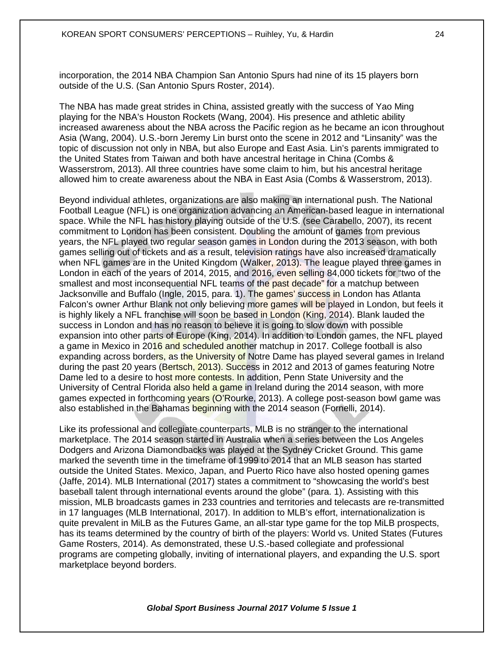incorporation, the 2014 NBA Champion San Antonio Spurs had nine of its 15 players born outside of the U.S. (San Antonio Spurs Roster, 2014).

The NBA has made great strides in China, assisted greatly with the success of Yao Ming playing for the NBA's Houston Rockets (Wang, 2004). His presence and athletic ability increased awareness about the NBA across the Pacific region as he became an icon throughout Asia (Wang, 2004). U.S.-born Jeremy Lin burst onto the scene in 2012 and "Linsanity" was the topic of discussion not only in NBA, but also Europe and East Asia. Lin's parents immigrated to the United States from Taiwan and both have ancestral heritage in China (Combs & Wasserstrom, 2013). All three countries have some claim to him, but his ancestral heritage allowed him to create awareness about the NBA in East Asia (Combs & Wasserstrom, 2013).

Beyond individual athletes, organizations are also making an international push. The National Football League (NFL) is one organization advancing an American-based league in international space. While the NFL has history playing outside of the U.S. (see Carabello, 2007), its recent commitment to London has been consistent. Doubling the amount of games from previous years, the NFL played two regular season games in London during the 2013 season, with both games selling out of tickets and as a result, television ratings have also increased dramatically when NFL games are in the United Kingdom (Walker, 2013). The league played three games in London in each of the years of 2014, 2015, and 2016, even selling 84,000 tickets for "two of the smallest and most inconsequential NFL teams of the past decade" for a matchup between Jacksonville and Buffalo (Ingle, 2015, para. 1). The games' success in London has Atlanta Falcon's owner Arthur Blank not only believing more games will be played in London, but feels it is highly likely a NFL franchise will soon be based in London (King, 2014). Blank lauded the success in London and has no reason to believe it is going to slow down with possible expansion into other parts of Europe (King, 2014). In addition to London games, the NFL played a game in Mexico in 2016 and scheduled another matchup in 2017. College football is also expanding across borders, as the University of Notre Dame has played several games in Ireland during the past 20 years (Bertsch, 2013). Success in 2012 and 2013 of games featuring Notre Dame led to a desire to host more contests. In addition, Penn State University and the University of Central Florida also held a game in Ireland during the 2014 season, with more games expected in forthcoming years (O'Rourke, 2013). A college post-season bowl game was also established in the Bahamas beginning with the 2014 season (Fornelli, 2014).

Like its professional and collegiate counterparts, MLB is no stranger to the international marketplace. The 2014 season started in Australia when a series between the Los Angeles Dodgers and Arizona Diamondbacks was played at the Sydney Cricket Ground. This game marked the seventh time in the timeframe of 1999 to 2014 that an MLB season has started outside the United States. Mexico, Japan, and Puerto Rico have also hosted opening games (Jaffe, 2014). MLB International (2017) states a commitment to "showcasing the world's best baseball talent through international events around the globe" (para. 1). Assisting with this mission, MLB broadcasts games in 233 countries and territories and telecasts are re-transmitted in 17 languages (MLB International, 2017). In addition to MLB's effort, internationalization is quite prevalent in MiLB as the Futures Game, an all-star type game for the top MiLB prospects, has its teams determined by the country of birth of the players: World vs. United States (Futures Game Rosters, 2014). As demonstrated, these U.S.-based collegiate and professional programs are competing globally, inviting of international players, and expanding the U.S. sport marketplace beyond borders.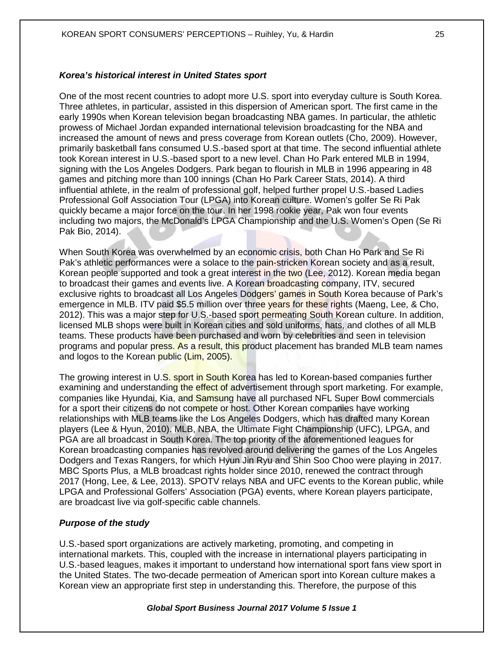#### *Korea's historical interest in United States sport*

One of the most recent countries to adopt more U.S. sport into everyday culture is South Korea. Three athletes, in particular, assisted in this dispersion of American sport. The first came in the early 1990s when Korean television began broadcasting NBA games. In particular, the athletic prowess of Michael Jordan expanded international television broadcasting for the NBA and increased the amount of news and press coverage from Korean outlets (Cho, 2009). However, primarily basketball fans consumed U.S.-based sport at that time. The second influential athlete took Korean interest in U.S.-based sport to a new level. Chan Ho Park entered MLB in 1994, signing with the Los Angeles Dodgers. Park began to flourish in MLB in 1996 appearing in 48 games and pitching more than 100 innings (Chan Ho Park Career Stats, 2014). A third influential athlete, in the realm of professional golf, helped further propel U.S.-based Ladies Professional Golf Association Tour (LPGA) into Korean culture. Women's golfer Se Ri Pak quickly became a major force on the tour. In her 1998 rookie year, Pak won four events including two majors, the McDonald's LPGA Championship and the U.S. Women's Open (Se Ri Pak Bio, 2014).

When South Korea was overwhelmed by an economic crisis, both Chan Ho Park and Se Ri Pak's athletic performances were a solace to the pain-stricken Korean society and as a result, Korean people supported and took a great interest in the two (Lee, 2012). Korean media began to broadcast their games and events live. A Korean broadcasting company, ITV, secured exclusive rights to broadcast all Los Angeles Dodgers' games in South Korea because of Park's emergence in MLB. ITV paid \$5.5 million over three years for these rights (Maeng, Lee, & Cho, 2012). This was a major step for U.S.-based sport permeating South Korean culture. In addition, licensed MLB shops were built in Korean cities and sold uniforms, hats, and clothes of all MLB teams. These products have been purchased and worn by celebrities and seen in television programs and popular press. As a result, this product placement has branded MLB team names and logos to the Korean public (Lim, 2005).

The growing interest in U.S. sport in South Korea has led to Korean-based companies further examining and understanding the effect of advertisement through sport marketing. For example, companies like Hyundai, Kia, and Samsung have all purchased NFL Super Bowl commercials for a sport their citizens do not compete or host. Other Korean companies have working relationships with MLB teams like the Los Angeles Dodgers, which has drafted many Korean players (Lee & Hyun, 2010). MLB, NBA, the Ultimate Fight Championship (UFC), LPGA, and PGA are all broadcast in South Korea. The top priority of the aforementioned leagues for Korean broadcasting companies has revolved around delivering the games of the Los Angeles Dodgers and Texas Rangers, for which Hyun Jin Ryu and Shin Soo Choo were playing in 2017. MBC Sports Plus, a MLB broadcast rights holder since 2010, renewed the contract through 2017 (Hong, Lee, & Lee, 2013). SPOTV relays NBA and UFC events to the Korean public, while LPGA and Professional Golfers' Association (PGA) events, where Korean players participate, are broadcast live via golf-specific cable channels.

#### *Purpose of the study*

U.S.-based sport organizations are actively marketing, promoting, and competing in international markets. This, coupled with the increase in international players participating in U.S.-based leagues, makes it important to understand how international sport fans view sport in the United States. The two-decade permeation of American sport into Korean culture makes a Korean view an appropriate first step in understanding this. Therefore, the purpose of this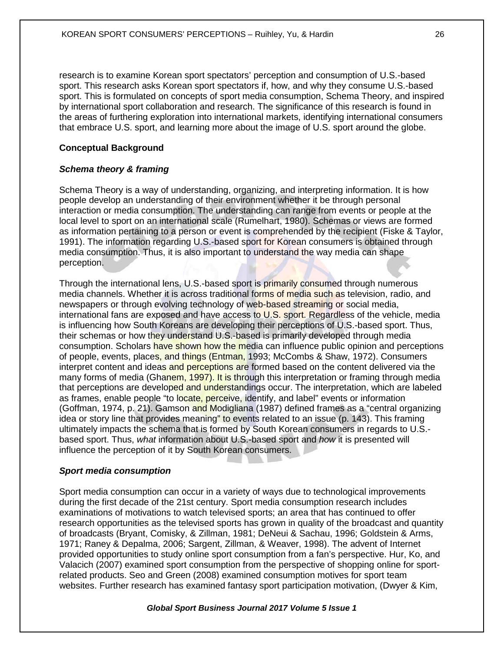research is to examine Korean sport spectators' perception and consumption of U.S.-based sport. This research asks Korean sport spectators if, how, and why they consume U.S.-based sport. This is formulated on concepts of sport media consumption, Schema Theory, and inspired by international sport collaboration and research. The significance of this research is found in the areas of furthering exploration into international markets, identifying international consumers that embrace U.S. sport, and learning more about the image of U.S. sport around the globe.

## **Conceptual Background**

## *Schema theory & framing*

Schema Theory is a way of understanding, organizing, and interpreting information. It is how people develop an understanding of their environment whether it be through personal interaction or media consumption. The understanding can range from events or people at the local level to sport on an international scale (Rumelhart, 1980). Schemas or views are formed as information pertaining to a person or event is comprehended by the recipient (Fiske & Taylor, 1991). The information regarding U.S.-based sport for Korean consumers is obtained through media consumption. Thus, it is also important to understand the way media can shape perception.

Through the international lens, U.S.-based sport is primarily consumed through numerous media channels. Whether it is across traditional forms of media such as television, radio, and newspapers or through evolving technology of web-based streaming or social media, international fans are exposed and have access to U.S. sport. Regardless of the vehicle, media is influencing how South Koreans are developing their perceptions of U.S.-based sport. Thus, their schemas or how they understand U.S.-based is primarily developed through media consumption. Scholars have shown how the media can influence public opinion and perceptions of people, events, places, and things (Entman, 1993; McCombs & Shaw, 1972). Consumers interpret content and ideas and perceptions are formed based on the content delivered via the many forms of media (Ghanem, 1997). It is through this interpretation or framing through media that perceptions are developed and understandings occur. The interpretation, which are labeled as frames, enable people "to locate, perceive, identify, and label" events or information (Goffman, 1974, p. 21). Gamson and Modigliana (1987) defined frames as a "central organizing idea or story line that provides meaning" to events related to an issue (p. 143). This framing ultimately impacts the schema that is formed by South Korean consumers in regards to U.S. based sport. Thus, *what* information about U.S.-based sport and *how* it is presented will influence the perception of it by South Korean consumers.

## *Sport media consumption*

Sport media consumption can occur in a variety of ways due to technological improvements during the first decade of the 21st century. Sport media consumption research includes examinations of motivations to watch televised sports; an area that has continued to offer research opportunities as the televised sports has grown in quality of the broadcast and quantity of broadcasts (Bryant, Comisky, & Zillman, 1981; DeNeui & Sachau, 1996; Goldstein & Arms, 1971; Raney & Depalma, 2006; Sargent, Zillman, & Weaver, 1998). The advent of Internet provided opportunities to study online sport consumption from a fan's perspective. Hur, Ko, and Valacich (2007) examined sport consumption from the perspective of shopping online for sportrelated products. Seo and Green (2008) examined consumption motives for sport team websites. Further research has examined fantasy sport participation motivation, (Dwyer & Kim,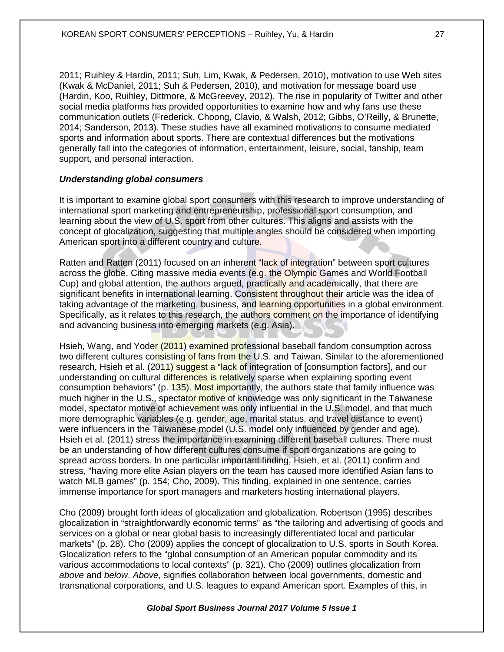2011; Ruihley & Hardin, 2011; Suh, Lim, Kwak, & Pedersen, 2010), motivation to use Web sites (Kwak & McDaniel, 2011; Suh & Pedersen, 2010), and motivation for message board use (Hardin, Koo, Ruihley, Dittmore, & McGreevey, 2012). The rise in popularity of Twitter and other social media platforms has provided opportunities to examine how and why fans use these communication outlets (Frederick, Choong, Clavio, & Walsh, 2012; Gibbs, O'Reilly, & Brunette, 2014; Sanderson, 2013). These studies have all examined motivations to consume mediated sports and information about sports. There are contextual differences but the motivations generally fall into the categories of information, entertainment, leisure, social, fanship, team support, and personal interaction.

#### *Understanding global consumers*

It is important to examine global sport consumers with this research to improve understanding of international sport marketing and entrepreneurship, professional sport consumption, and learning about the view of U.S. sport from other cultures. This aligns and assists with the concept of glocalization, suggesting that multiple angles should be considered when importing American sport into a different country and culture.

Ratten and Ratten (2011) focused on an inherent "lack of integration" between sport cultures across the globe. Citing massive media events (e.g. the Olympic Games and World Football Cup) and global attention, the authors argued, practically and academically, that there are significant benefits in international learning. Consistent throughout their article was the idea of taking advantage of the marketing, business, and learning opportunities in a global environment. Specifically, as it relates to this research, the authors comment on the importance of identifying and advancing business into emerging markets (e.g. Asia).

Hsieh, Wang, and Yoder (2011) examined professional baseball fandom consumption across two different cultures consisting of fans from the U.S. and Taiwan. Similar to the aforementioned research, Hsieh et al. (2011) suggest a "lack of integration of [consumption factors], and our understanding on cultural differences is relatively sparse when explaining sporting event consumption behaviors" (p. 135). Most importantly, the authors state that family influence was much higher in the U.S., spectator motive of knowledge was only significant in the Taiwanese model, spectator motive of achievement was only influential in the U.S. model, and that much more demographic variables (e.g. gender, age, marital status, and travel distance to event) were influencers in the Taiwanese model (U.S. model only influenced by gender and age). Hsieh et al. (2011) stress the importance in examining different baseball cultures. There must be an understanding of how different cultures consume if sport organizations are going to spread across borders. In one particular important finding, Hsieh, et al. (2011) confirm and stress, "having more elite Asian players on the team has caused more identified Asian fans to watch MLB games" (p. 154; Cho, 2009). This finding, explained in one sentence, carries immense importance for sport managers and marketers hosting international players.

Cho (2009) brought forth ideas of glocalization and globalization. Robertson (1995) describes glocalization in "straightforwardly economic terms" as "the tailoring and advertising of goods and services on a global or near global basis to increasingly differentiated local and particular markets" (p. 28). Cho (2009) applies the concept of glocalization to U.S. sports in South Korea. Glocalization refers to the "global consumption of an American popular commodity and its various accommodations to local contexts" (p. 321). Cho (2009) outlines glocalization from *above* and *below*. *Above*, signifies collaboration between local governments, domestic and transnational corporations, and U.S. leagues to expand American sport. Examples of this, in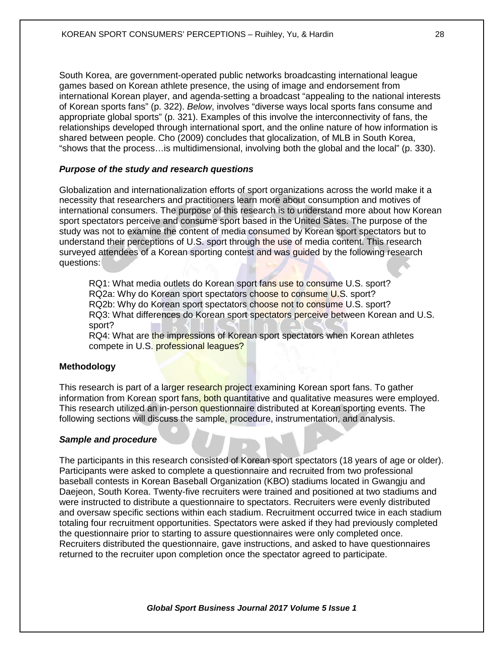South Korea, are government-operated public networks broadcasting international league games based on Korean athlete presence, the using of image and endorsement from international Korean player, and agenda-setting a broadcast "appealing to the national interests of Korean sports fans" (p. 322). *Below*, involves "diverse ways local sports fans consume and appropriate global sports" (p. 321). Examples of this involve the interconnectivity of fans, the relationships developed through international sport, and the online nature of how information is shared between people. Cho (2009) concludes that glocalization, of MLB in South Korea, "shows that the process…is multidimensional, involving both the global and the local" (p. 330).

#### *Purpose of the study and research questions*

Globalization and internationalization efforts of sport organizations across the world make it a necessity that researchers and practitioners learn more about consumption and motives of international consumers. The purpose of this research is to understand more about how Korean sport spectators perceive and consume sport based in the United Sates. The purpose of the study was not to examine the content of media consumed by Korean sport spectators but to understand their perceptions of U.S. sport through the use of media content. This research surveyed attendees of a Korean sporting contest and was guided by the following research questions:

RQ1: What media outlets do Korean sport fans use to consume U.S. sport? RQ2a: Why do Korean sport spectators choose to consume U.S. sport? RQ2b: Why do Korean sport spectators choose not to consume U.S. sport? RQ3: What differences do Korean sport spectators perceive between Korean and U.S. sport?

RQ4: What are the impressions of Korean sport spectators when Korean athletes compete in U.S. professional leagues?

#### **Methodology**

This research is part of a larger research project examining Korean sport fans. To gather information from Korean sport fans, both quantitative and qualitative measures were employed. This research utilized an in-person questionnaire distributed at Korean sporting events. The following sections will discuss the sample, procedure, instrumentation, and analysis.

#### *Sample and procedure*

The participants in this research consisted of Korean sport spectators (18 years of age or older). Participants were asked to complete a questionnaire and recruited from two professional baseball contests in Korean Baseball Organization (KBO) stadiums located in Gwangju and Daejeon, South Korea. Twenty-five recruiters were trained and positioned at two stadiums and were instructed to distribute a questionnaire to spectators. Recruiters were evenly distributed and oversaw specific sections within each stadium. Recruitment occurred twice in each stadium totaling four recruitment opportunities. Spectators were asked if they had previously completed the questionnaire prior to starting to assure questionnaires were only completed once. Recruiters distributed the questionnaire, gave instructions, and asked to have questionnaires returned to the recruiter upon completion once the spectator agreed to participate.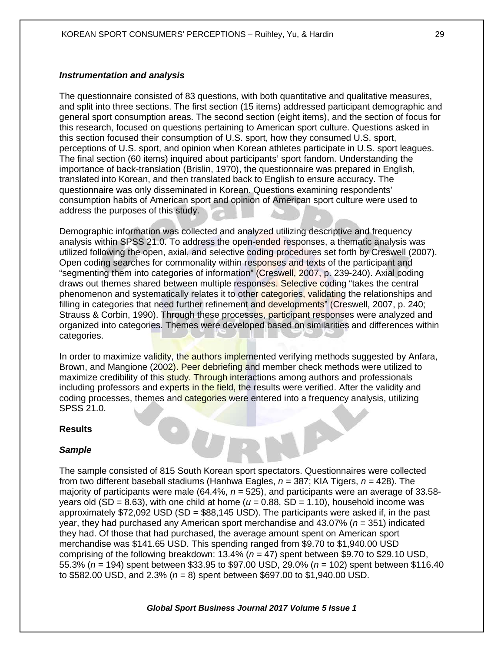#### *Instrumentation and analysis*

The questionnaire consisted of 83 questions, with both quantitative and qualitative measures, and split into three sections. The first section (15 items) addressed participant demographic and general sport consumption areas. The second section (eight items), and the section of focus for this research, focused on questions pertaining to American sport culture. Questions asked in this section focused their consumption of U.S. sport, how they consumed U.S. sport, perceptions of U.S. sport, and opinion when Korean athletes participate in U.S. sport leagues. The final section (60 items) inquired about participants' sport fandom. Understanding the importance of back-translation (Brislin, 1970), the questionnaire was prepared in English, translated into Korean, and then translated back to English to ensure accuracy. The questionnaire was only disseminated in Korean. Questions examining respondents' consumption habits of American sport and opinion of American sport culture were used to address the purposes of this study.

Demographic information was collected and analyzed utilizing descriptive and frequency analysis within SPSS 21.0. To address the open-ended responses, a thematic analysis was utilized following the open, axial, and selective coding procedures set forth by Creswell (2007). Open coding searches for commonality within responses and texts of the participant and "segmenting them into categories of information" (Creswell, 2007, p. 239-240). Axial coding draws out themes shared between multiple responses. Selective coding "takes the central phenomenon and systematically relates it to other categories, validating the relationships and filling in categories that need further refinement and developments" (Creswell, 2007, p. 240; Strauss & Corbin, 1990). Through these processes, participant responses were analyzed and organized into categories. Themes were developed based on similarities and differences within categories.

In order to maximize validity, the authors implemented verifying methods suggested by Anfara, Brown, and Mangione (2002). Peer debriefing and member check methods were utilized to maximize credibility of this study. Through interactions among authors and professionals including professors and experts in the field, the results were verified. After the validity and coding processes, themes and categories were entered into a frequency analysis, utilizing SPSS 21.0.

 $\bullet$ 

#### **Results**

## *Sample*

The sample consisted of 815 South Korean sport spectators. Questionnaires were collected from two different baseball stadiums (Hanhwa Eagles, *n =* 387; KIA Tigers, *n =* 428). The majority of participants were male (64.4%, *n =* 525), and participants were an average of 33.58 years old (SD = 8.63), with one child at home ( $u = 0.88$ , SD = 1.10), household income was approximately  $$72,092$  USD (SD =  $$88,145$  USD). The participants were asked if, in the past year, they had purchased any American sport merchandise and 43.07% (*n* = 351) indicated they had. Of those that had purchased, the average amount spent on American sport merchandise was \$141.65 USD. This spending ranged from \$9.70 to \$1,940.00 USD comprising of the following breakdown: 13.4% (*n =* 47) spent between \$9.70 to \$29.10 USD, 55.3% (*n =* 194) spent between \$33.95 to \$97.00 USD, 29.0% (*n =* 102) spent between \$116.40 to \$582.00 USD, and 2.3% (*n =* 8) spent between \$697.00 to \$1,940.00 USD.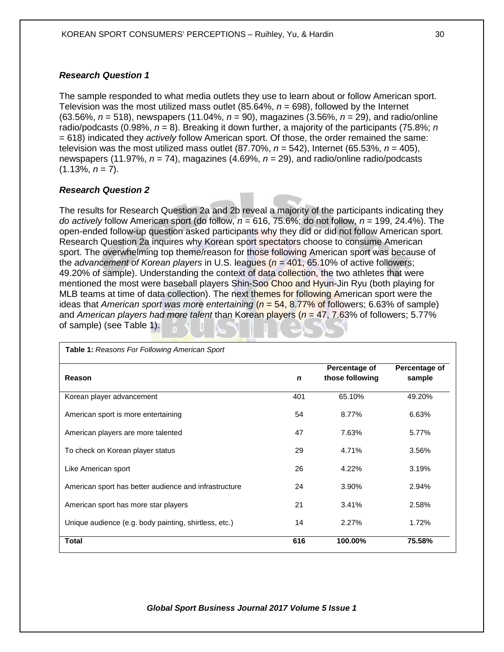## *Research Question 1*

The sample responded to what media outlets they use to learn about or follow American sport. Television was the most utilized mass outlet (85.64%, *n* = 698), followed by the Internet (63.56%, *n* = 518), newspapers (11.04%, *n* = 90), magazines (3.56%, *n* = 29), and radio/online radio/podcasts (0.98%, *n* = 8). Breaking it down further, a majority of the participants (75.8%; *n*  = 618) indicated they *actively* follow American sport. Of those, the order remained the same: television was the most utilized mass outlet (87.70%, *n* = 542), Internet (65.53%, *n* = 405), newspapers (11.97%, *n* = 74), magazines (4.69%, *n* = 29), and radio/online radio/podcasts  $(1.13\%, n = 7)$ .

## *Research Question 2*

The results for Research Question 2a and 2b reveal a majority of the participants indicating they *do actively* follow American sport (do follow, *n* = 616, 75.6%; do not follow, *n* = 199, 24.4%). The open-ended follow-up question asked participants why they did or did not follow American sport. Research Question 2a inquires why Korean sport spectators choose to consume American sport. The overwhelming top theme/reason for those following American sport was because of the *advancement of Korean players* in U.S. leagues (*n* = 401, 65.10% of active followers; 49.20% of sample). Understanding the context of data collection, the two athletes that were mentioned the most were baseball players Shin-Soo Choo and Hyun-Jin Ryu (both playing for MLB teams at time of data collection). The next themes for following American sport were the ideas that *American sport was more entertaining* (*n* = 54, 8.77% of followers; 6.63% of sample) and *American players had more talent* than Korean players (*n* = 47, 7.63% of followers; 5.77% of sample) (see Table 1).

| <b>Table 1:</b> Reasons For Following American Sport  |             |                                  |                         |
|-------------------------------------------------------|-------------|----------------------------------|-------------------------|
| Reason                                                | $\mathbf n$ | Percentage of<br>those following | Percentage of<br>sample |
| Korean player advancement                             | 401         | 65.10%                           | 49.20%                  |
| American sport is more entertaining                   | 54          | 8.77%                            | 6.63%                   |
| American players are more talented                    | 47          | 7.63%                            | 5.77%                   |
| To check on Korean player status                      | 29          | 4.71%                            | 3.56%                   |
| Like American sport                                   | 26          | 4.22%                            | 3.19%                   |
| American sport has better audience and infrastructure | 24          | 3.90%                            | 2.94%                   |
| American sport has more star players                  | 21          | 3.41%                            | 2.58%                   |
| Unique audience (e.g. body painting, shirtless, etc.) | 14          | 2.27%                            | 1.72%                   |
| Total                                                 | 616         | 100.00%                          | 75.58%                  |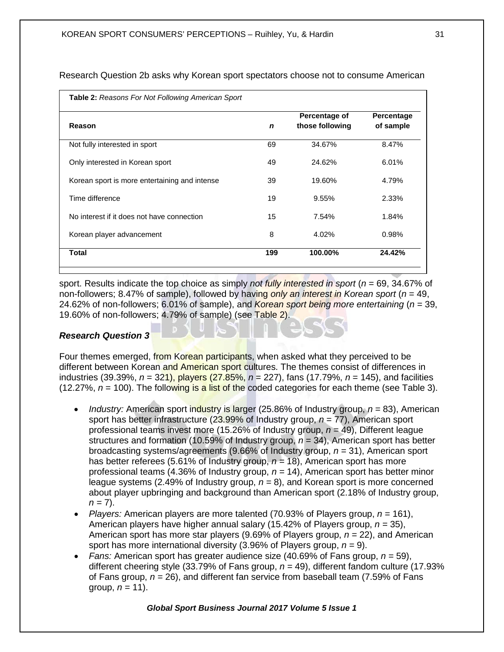| Reason                                        | $\mathbf n$ | Percentage of<br>those following | Percentage<br>of sample |
|-----------------------------------------------|-------------|----------------------------------|-------------------------|
| Not fully interested in sport                 | 69          | 34.67%                           | 8.47%                   |
| Only interested in Korean sport               | 49          | 24.62%                           | 6.01%                   |
| Korean sport is more entertaining and intense | 39          | 19.60%                           | 4.79%                   |
| Time difference                               | 19          | 9.55%                            | 2.33%                   |
| No interest if it does not have connection    | 15          | 7.54%                            | 1.84%                   |
| Korean player advancement                     | 8           | 4.02%                            | 0.98%                   |
| <b>Total</b>                                  | 199         | 100.00%                          | 24.42%                  |

Research Question 2b asks why Korean sport spectators choose not to consume American

sport. Results indicate the top choice as simply *not fully interested in sport* (*n* = 69, 34.67% of non-followers; 8.47% of sample), followed by having *only an interest in Korean sport* (*n* = 49, 24.62% of non-followers; 6.01% of sample), and *Korean sport being more entertaining* (*n* = 39, 19.60% of non-followers; 4.79% of sample) (see Table 2).

## *Research Question 3*

Four themes emerged, from Korean participants, when asked what they perceived to be different between Korean and American sport cultures. The themes consist of differences in industries (39.39%, *n* = 321), players (27.85%, *n* = 227), fans (17.79%, *n* = 145), and facilities  $(12.27\%, n = 100)$ . The following is a list of the coded categories for each theme (see Table 3).

- *Industry:* American sport industry is larger (25.86% of Industry group, *n* = 83), American sport has better infrastructure (23.99% of Industry group, *n* = 77), American sport professional teams invest more (15.26% of Industry group, *n* = 49), Different league structures and formation (10.59% of Industry group,  $n = 34$ ), American sport has better broadcasting systems/agreements (9.66% of Industry group, *n* = 31), American sport has better referees (5.61% of Industry group, *n =* 18), American sport has more professional teams (4.36% of Industry group, *n =* 14), American sport has better minor league systems (2.49% of Industry group, *n =* 8), and Korean sport is more concerned about player upbringing and background than American sport (2.18% of Industry group,  $n = 7$ ).
- *Players:* American players are more talented (70.93% of Players group, *n =* 161), American players have higher annual salary (15.42% of Players group, *n =* 35), American sport has more star players (9.69% of Players group, *n =* 22), and American sport has more international diversity (3.96% of Players group, *n =* 9).
- *Fans:* American sport has greater audience size (40.69% of Fans group, *n =* 59), different cheering style (33.79% of Fans group, *n =* 49), different fandom culture (17.93% of Fans group, *n =* 26), and different fan service from baseball team (7.59% of Fans group,  $n = 11$ ).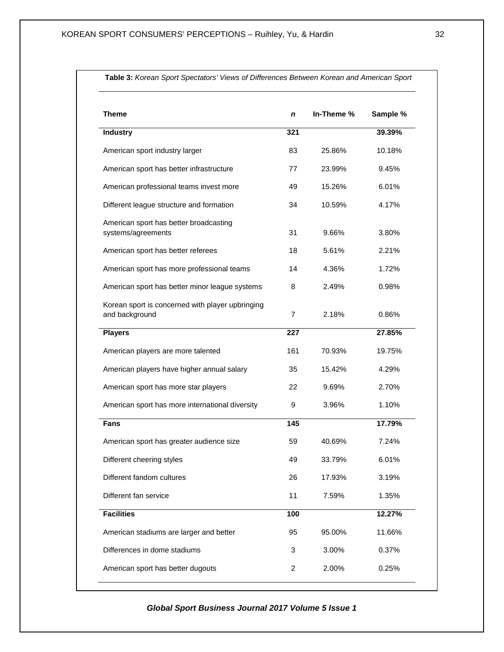| <b>Theme</b>                                                       | n   | In-Theme % | Sample % |
|--------------------------------------------------------------------|-----|------------|----------|
| <b>Industry</b>                                                    | 321 |            | 39.39%   |
| American sport industry larger                                     | 83  | 25.86%     | 10.18%   |
| American sport has better infrastructure                           | 77  | 23.99%     | 9.45%    |
| American professional teams invest more                            | 49  | 15.26%     | 6.01%    |
| Different league structure and formation                           | 34  | 10.59%     | 4.17%    |
| American sport has better broadcasting<br>systems/agreements       | 31  | 9.66%      | 3.80%    |
| American sport has better referees                                 | 18  | 5.61%      | 2.21%    |
| American sport has more professional teams                         | 14  | 4.36%      | 1.72%    |
| American sport has better minor league systems                     | 8   | 2.49%      | 0.98%    |
| Korean sport is concerned with player upbringing<br>and background | 7   | 2.18%      | 0.86%    |
| <b>Players</b>                                                     | 227 |            | 27.85%   |
| American players are more talented                                 | 161 | 70.93%     | 19.75%   |
| American players have higher annual salary                         | 35  | 15.42%     | 4.29%    |
| American sport has more star players                               | 22  | 9.69%      | 2.70%    |
| American sport has more international diversity                    | 9   | 3.96%      | 1.10%    |
| Fans                                                               | 145 |            | 17.79%   |
| American sport has greater audience size                           | 59  | 40.69%     | 7.24%    |
| Different cheering styles                                          | 49  | 33.79%     | 6.01%    |
| Different fandom cultures                                          | 26  | 17.93%     | 3.19%    |
| Different fan service                                              | 11  | 7.59%      | 1.35%    |
| <b>Facilities</b>                                                  | 100 |            | 12.27%   |
| American stadiums are larger and better                            | 95  | 95.00%     | 11.66%   |
| Differences in dome stadiums                                       | 3   | 3.00%      | 0.37%    |
| American sport has better dugouts                                  | 2   | 2.00%      | 0.25%    |

**Table 3:** *Korean Sport Spectators' Views of Differences Between Korean and American Sport*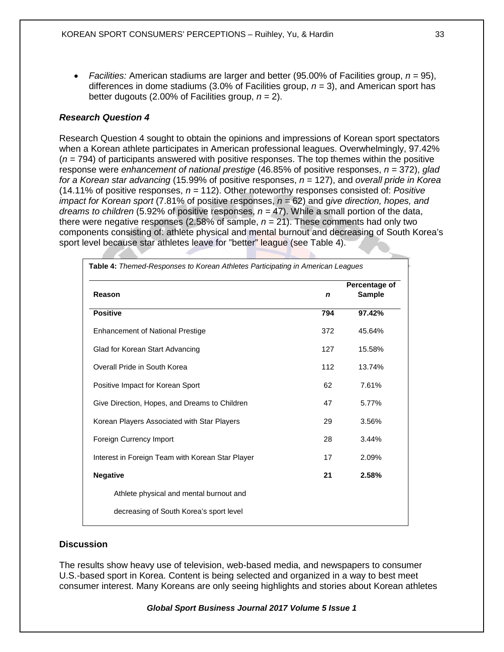• *Facilities:* American stadiums are larger and better (95.00% of Facilities group, *n =* 95), differences in dome stadiums (3.0% of Facilities group, *n =* 3), and American sport has better dugouts (2.00% of Facilities group, *n =* 2).

## *Research Question 4*

Research Question 4 sought to obtain the opinions and impressions of Korean sport spectators when a Korean athlete participates in American professional leagues. Overwhelmingly, 97.42% (*n =* 794) of participants answered with positive responses. The top themes within the positive response were *enhancement of national prestige* (46.85% of positive responses, *n =* 372), *glad for a Korean star advancing* (15.99% of positive responses, *n =* 127), and *overall pride in Korea* (14.11% of positive responses, *n =* 112). Other noteworthy responses consisted of: *Positive impact for Korean sport* (7.81% of positive responses, *n =* 62) and g*ive direction, hopes, and dreams to children* (5.92% of positive responses, *n =* 47). While a small portion of the data, there were negative responses (2.58% of sample, *n =* 21). These comments had only two components consisting of: athlete physical and mental burnout and decreasing of South Korea's sport level because star athletes leave for "better" league (see Table 4).

| Reason                                           | Percentage of |        |  |
|--------------------------------------------------|---------------|--------|--|
|                                                  | n             | Sample |  |
| <b>Positive</b>                                  | 794           | 97.42% |  |
| <b>Enhancement of National Prestige</b>          | 372           | 45.64% |  |
| Glad for Korean Start Advancing                  | 127           | 15.58% |  |
| Overall Pride in South Korea                     | 112           | 13.74% |  |
| Positive Impact for Korean Sport                 | 62            | 7.61%  |  |
| Give Direction, Hopes, and Dreams to Children    | 47            | 5.77%  |  |
| Korean Players Associated with Star Players      | 29            | 3.56%  |  |
| Foreign Currency Import                          | 28            | 3.44%  |  |
| Interest in Foreign Team with Korean Star Player | 17            | 2.09%  |  |
| <b>Negative</b>                                  | 21            | 2.58%  |  |
| Athlete physical and mental burnout and          |               |        |  |
| decreasing of South Korea's sport level          |               |        |  |

## **Discussion**

The results show heavy use of television, web-based media, and newspapers to consumer U.S.-based sport in Korea. Content is being selected and organized in a way to best meet consumer interest. Many Koreans are only seeing highlights and stories about Korean athletes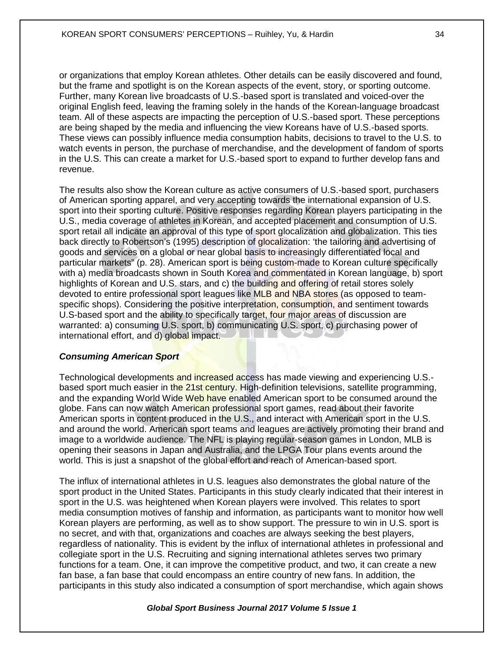or organizations that employ Korean athletes. Other details can be easily discovered and found, but the frame and spotlight is on the Korean aspects of the event, story, or sporting outcome. Further, many Korean live broadcasts of U.S.-based sport is translated and voiced-over the original English feed, leaving the framing solely in the hands of the Korean-language broadcast team. All of these aspects are impacting the perception of U.S.-based sport. These perceptions are being shaped by the media and influencing the view Koreans have of U.S.-based sports. These views can possibly influence media consumption habits, decisions to travel to the U.S. to watch events in person, the purchase of merchandise, and the development of fandom of sports in the U.S. This can create a market for U.S.-based sport to expand to further develop fans and revenue.

The results also show the Korean culture as active consumers of U.S.-based sport, purchasers of American sporting apparel, and very accepting towards the international expansion of U.S. sport into their sporting culture. Positive responses regarding Korean players participating in the U.S., media coverage of athletes in Korean, and accepted placement and consumption of U.S. sport retail all indicate an approval of this type of sport glocalization and globalization. This ties back directly to Robertson's (1995) description of glocalization: 'the tailoring and advertising of goods and services on a global or near global basis to increasingly differentiated local and particular markets" (p. 28). American sport is being custom-made to Korean culture specifically with a) media broadcasts shown in South Korea and commentated in Korean language, b) sport highlights of Korean and U.S. stars, and c) the building and offering of retail stores solely devoted to entire professional sport leagues like MLB and NBA stores (as opposed to teamspecific shops). Considering the positive interpretation, consumption, and sentiment towards U.S-based sport and the ability to specifically target, four major areas of discussion are warranted: a) consuming U.S. sport, b) communicating U.S. sport, c) purchasing power of international effort, and d) global impact.

## *Consuming American Sport*

Technological developments and increased access has made viewing and experiencing U.S. based sport much easier in the 21st century. High-definition televisions, satellite programming, and the expanding World Wide Web have enabled American sport to be consumed around the globe. Fans can now watch American professional sport games, read about their favorite American sports in content produced in the U.S., and interact with American sport in the U.S. and around the world. American sport teams and leagues are actively promoting their brand and image to a worldwide audience. The NFL is playing regular-season games in London, MLB is opening their seasons in Japan and Australia, and the LPGA Tour plans events around the world. This is just a snapshot of the global effort and reach of American-based sport.

The influx of international athletes in U.S. leagues also demonstrates the global nature of the sport product in the United States. Participants in this study clearly indicated that their interest in sport in the U.S. was heightened when Korean players were involved. This relates to sport media consumption motives of fanship and information, as participants want to monitor how well Korean players are performing, as well as to show support. The pressure to win in U.S. sport is no secret, and with that, organizations and coaches are always seeking the best players, regardless of nationality. This is evident by the influx of international athletes in professional and collegiate sport in the U.S. Recruiting and signing international athletes serves two primary functions for a team. One, it can improve the competitive product, and two, it can create a new fan base, a fan base that could encompass an entire country of new fans. In addition, the participants in this study also indicated a consumption of sport merchandise, which again shows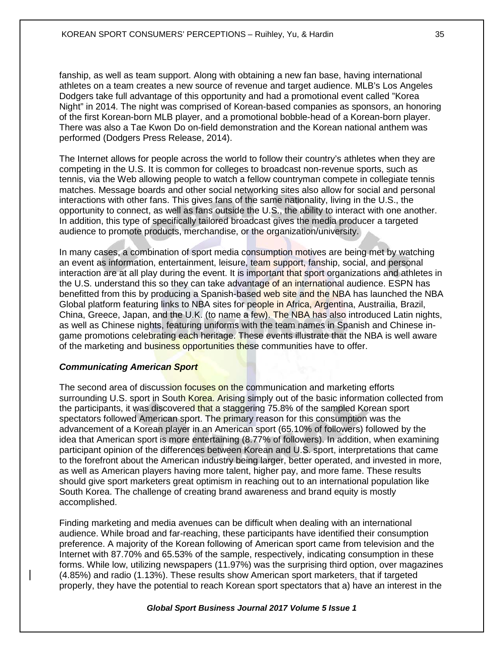fanship, as well as team support. Along with obtaining a new fan base, having international athletes on a team creates a new source of revenue and target audience. MLB's Los Angeles Dodgers take full advantage of this opportunity and had a promotional event called "Korea Night" in 2014. The night was comprised of Korean-based companies as sponsors, an honoring of the first Korean-born MLB player, and a promotional bobble-head of a Korean-born player. There was also a Tae Kwon Do on-field demonstration and the Korean national anthem was performed (Dodgers Press Release, 2014).

The Internet allows for people across the world to follow their country's athletes when they are competing in the U.S. It is common for colleges to broadcast non-revenue sports, such as tennis, via the Web allowing people to watch a fellow countryman compete in collegiate tennis matches. Message boards and other social networking sites also allow for social and personal interactions with other fans. This gives fans of the same nationality, living in the U.S., the opportunity to connect, as well as fans outside the U.S., the ability to interact with one another. In addition, this type of specifically tailored broadcast gives the media producer a targeted audience to promote products, merchandise, or the organization/university.

In many cases, a combination of sport media consumption motives are being met by watching an event as information, entertainment, leisure, team support, fanship, social, and personal interaction are at all play during the event. It is important that sport organizations and athletes in the U.S. understand this so they can take advantage of an international audience. ESPN has benefitted from this by producing a Spanish-based web site and the NBA has launched the NBA Global platform featuring links to NBA sites for people in Africa, Argentina, Austrailia, Brazil, China, Greece, Japan, and the U.K. (to name a few). The NBA has also introduced Latin nights, as well as Chinese nights, featuring uniforms with the team names in Spanish and Chinese ingame promotions celebrating each heritage. These events illustrate that the NBA is well aware of the marketing and business opportunities these communities have to offer.

## *Communicating American Sport*

The second area of discussion focuses on the communication and marketing efforts surrounding U.S. sport in South Korea. Arising simply out of the basic information collected from the participants, it was discovered that a staggering 75.8% of the sampled Korean sport spectators followed American sport. The primary reason for this consumption was the advancement of a Korean player in an American sport (65.10% of followers) followed by the idea that American sport is more entertaining (8.77% of followers). In addition, when examining participant opinion of the differences between Korean and U.S. sport, interpretations that came to the forefront about the American industry being larger, better operated, and invested in more, as well as American players having more talent, higher pay, and more fame. These results should give sport marketers great optimism in reaching out to an international population like South Korea. The challenge of creating brand awareness and brand equity is mostly accomplished.

Finding marketing and media avenues can be difficult when dealing with an international audience. While broad and far-reaching, these participants have identified their consumption preference. A majority of the Korean following of American sport came from television and the Internet with 87.70% and 65.53% of the sample, respectively, indicating consumption in these forms. While low, utilizing newspapers (11.97%) was the surprising third option, over magazines (4.85%) and radio (1.13%). These results show American sport marketers, that if targeted properly, they have the potential to reach Korean sport spectators that a) have an interest in the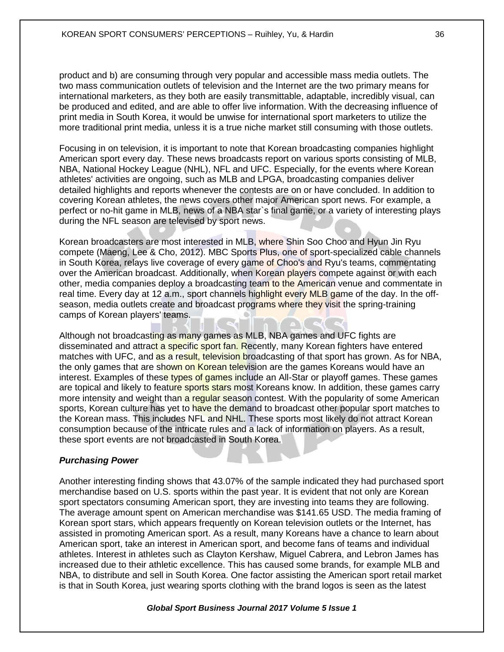product and b) are consuming through very popular and accessible mass media outlets. The two mass communication outlets of television and the Internet are the two primary means for international marketers, as they both are easily transmittable, adaptable, incredibly visual, can be produced and edited, and are able to offer live information. With the decreasing influence of print media in South Korea, it would be unwise for international sport marketers to utilize the more traditional print media, unless it is a true niche market still consuming with those outlets.

Focusing in on television, it is important to note that Korean broadcasting companies highlight American sport every day. These news broadcasts report on various sports consisting of MLB, NBA, National Hockey League (NHL), NFL and UFC. Especially, for the events where Korean athletes' activities are ongoing, such as MLB and LPGA, broadcasting companies deliver detailed highlights and reports whenever the contests are on or have concluded. In addition to covering Korean athletes, the news covers other major American sport news. For example, a perfect or no-hit game in MLB, news of a NBA star`s final game, or a variety of interesting plays during the NFL season are televised by sport news.

Korean broadcasters are most interested in MLB, where Shin Soo Choo and Hyun Jin Ryu compete (Maeng, Lee & Cho, 2012). MBC Sports Plus, one of sport-specialized cable channels in South Korea, relays live coverage of every game of Choo's and Ryu's teams, commentating over the American broadcast. Additionally, when Korean players compete against or with each other, media companies deploy a broadcasting team to the American venue and commentate in real time. Every day at 12 a.m., sport channels highlight every MLB game of the day. In the offseason, media outlets create and broadcast programs where they visit the spring-training camps of Korean players' teams.

Although not broadcasting as many games as MLB, NBA games and UFC fights are disseminated and attract a specific sport fan. Recently, many Korean fighters have entered matches with UFC, and as a result, television broadcasting of that sport has grown. As for NBA, the only games that are shown on Korean television are the games Koreans would have an interest. Examples of these types of games include an All-Star or playoff games. These games are topical and likely to feature sports stars most Koreans know. In addition, these games carry more intensity and weight than a regular season contest. With the popularity of some American sports, Korean culture has yet to have the demand to broadcast other popular sport matches to the Korean mass. This includes NFL and NHL. These sports most likely do not attract Korean consumption because of the intricate rules and a lack of information on players. As a result, these sport events are not broadcasted in South Korea.

## *Purchasing Power*

Another interesting finding shows that 43.07% of the sample indicated they had purchased sport merchandise based on U.S. sports within the past year. It is evident that not only are Korean sport spectators consuming American sport, they are investing into teams they are following. The average amount spent on American merchandise was \$141.65 USD. The media framing of Korean sport stars, which appears frequently on Korean television outlets or the Internet, has assisted in promoting American sport. As a result, many Koreans have a chance to learn about American sport, take an interest in American sport, and become fans of teams and individual athletes. Interest in athletes such as Clayton Kershaw, Miguel Cabrera, and Lebron James has increased due to their athletic excellence. This has caused some brands, for example MLB and NBA, to distribute and sell in South Korea. One factor assisting the American sport retail market is that in South Korea, just wearing sports clothing with the brand logos is seen as the latest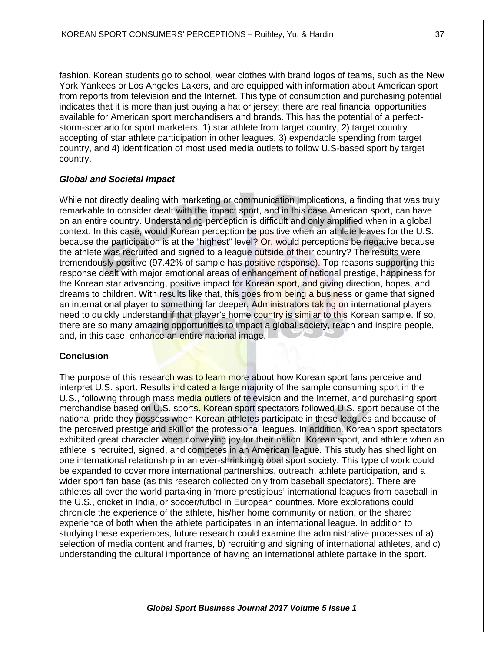fashion. Korean students go to school, wear clothes with brand logos of teams, such as the New York Yankees or Los Angeles Lakers, and are equipped with information about American sport from reports from television and the Internet. This type of consumption and purchasing potential indicates that it is more than just buying a hat or jersey; there are real financial opportunities available for American sport merchandisers and brands. This has the potential of a perfectstorm-scenario for sport marketers: 1) star athlete from target country, 2) target country accepting of star athlete participation in other leagues, 3) expendable spending from target country, and 4) identification of most used media outlets to follow U.S-based sport by target country.

## *Global and Societal Impact*

While not directly dealing with marketing or communication implications, a finding that was truly remarkable to consider dealt with the impact sport, and in this case American sport, can have on an entire country. Understanding perception is difficult and only amplified when in a global context. In this case, would Korean perception be positive when an athlete leaves for the U.S. because the participation is at the "highest" level? Or, would perceptions be negative because the athlete was recruited and signed to a league outside of their country? The results were tremendously positive (97.42% of sample has positive response). Top reasons supporting this response dealt with major emotional areas of enhancement of national prestige, happiness for the Korean star advancing, positive impact for Korean sport, and giving direction, hopes, and dreams to children. With results like that, this goes from being a business or game that signed an international player to something far deeper. Administrators taking on international players need to quickly understand if that player's home country is similar to this Korean sample. If so, there are so many amazing opportunities to impact a global society, reach and inspire people, and, in this case, enhance an entire national image.

## **Conclusion**

The purpose of this research was to learn more about how Korean sport fans perceive and interpret U.S. sport. Results indicated a large majority of the sample consuming sport in the U.S., following through mass media outlets of television and the Internet, and purchasing sport merchandise based on U.S. sports. Korean sport spectators followed U.S. sport because of the national pride they possess when Korean athletes participate in these leagues and because of the perceived prestige and skill of the professional leagues. In addition, Korean sport spectators exhibited great character when conveying joy for their nation, Korean sport, and athlete when an athlete is recruited, signed, and competes in an American league. This study has shed light on one international relationship in an ever-shrinking global sport society. This type of work could be expanded to cover more international partnerships, outreach, athlete participation, and a wider sport fan base (as this research collected only from baseball spectators). There are athletes all over the world partaking in 'more prestigious' international leagues from baseball in the U.S., cricket in India, or soccer/futbol in European countries. More explorations could chronicle the experience of the athlete, his/her home community or nation, or the shared experience of both when the athlete participates in an international league. In addition to studying these experiences, future research could examine the administrative processes of a) selection of media content and frames, b) recruiting and signing of international athletes, and c) understanding the cultural importance of having an international athlete partake in the sport.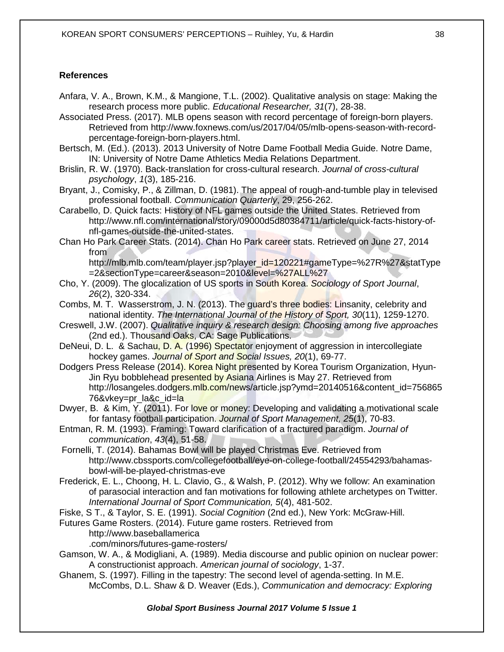#### **References**

- Anfara, V. A., Brown, K.M., & Mangione, T.L. (2002). Qualitative analysis on stage: Making the research process more public. *Educational Researcher, 31*(7), 28-38.
- Associated Press. (2017). MLB opens season with record percentage of foreign-born players. Retrieved from http://www.foxnews.com/us/2017/04/05/mlb-opens-season-with-recordpercentage-foreign-born-players.html.
- Bertsch, M. (Ed.). (2013). 2013 University of Notre Dame Football Media Guide. Notre Dame, IN: University of Notre Dame Athletics Media Relations Department.
- Brislin, R. W. (1970). Back-translation for cross-cultural research. *Journal of cross-cultural psychology*, *1*(3), 185-216.
- Bryant, J., Comisky, P., & Zillman, D. (1981). The appeal of rough-and-tumble play in televised professional football. *Communication Quarterly*, 29, 256-262.
- Carabello, D. Quick facts: History of NFL games outside the United States. Retrieved from http://www.nfl.com/international/story/09000d5d80384711/article/quick-facts-history-ofnfl-games-outside-the-united-states.
- Chan Ho Park Career Stats. (2014). Chan Ho Park career stats. Retrieved on June 27, 2014 from http://mlb.mlb.com/team/player.jsp?player\_id=120221#gameType=%27R%27&statType

=2&sectionType=career&season=2010&level=%27ALL%27

- Cho, Y. (2009). The glocalization of US sports in South Korea. *Sociology of Sport Journal*, *26*(2), 320-334.
- Combs, M. T. Wasserstrom, J. N. (2013). The guard's three bodies: Linsanity, celebrity and national identity. *The International Journal of the History of Sport, 30*(11), 1259-1270.
- Creswell, J.W. (2007). *Qualitative inquiry & research design: Choosing among five approaches*  (2nd ed.). Thousand Oaks, CA: Sage Publications.
- DeNeui, D. L. & Sachau, D. A. (1996) Spectator enjoyment of aggression in intercollegiate hockey games. *Journal of Sport and Social Issues, 20*(1), 69-77.
- Dodgers Press Release (2014). Korea Night presented by Korea Tourism Organization, Hyun-Jin Ryu bobblehead presented by Asiana Airlines is May 27. Retrieved from http://losangeles.dodgers.mlb.com/news/article.jsp?ymd=20140516&content\_id=756865 76&vkey=pr\_la&c\_id=la
- Dwyer, B. & Kim, Y. (2011). For love or money: Developing and validating a motivational scale for fantasy football participation. *Journal of Sport Management, 25*(1), 70-83.
- Entman, R. M. (1993). Framing: Toward clarification of a fractured paradigm. *Journal of communication*, *43*(4), 51-58.

Fornelli, T. (2014). Bahamas Bowl will be played Christmas Eve. Retrieved from http://www.cbssports.com/collegefootball/eye-on-college-football/24554293/bahamasbowl-will-be-played-christmas-eve

Frederick, E. L., Choong, H. L. Clavio, G., & Walsh, P. (2012). Why we follow: An examination of parasocial interaction and fan motivations for following athlete archetypes on Twitter. *International Journal of Sport Communication, 5*(4), 481-502.

Fiske, S T., & Taylor, S. E. (1991). *Social Cognition* (2nd ed.), New York: McGraw-Hill.

- Futures Game Rosters. (2014). Future game rosters. Retrieved from
	- http://www.baseballamerica

.com/minors/futures-game-rosters/

- Gamson, W. A., & Modigliani, A. (1989). Media discourse and public opinion on nuclear power: A constructionist approach. *American journal of sociology*, 1-37.
- Ghanem, S. (1997). Filling in the tapestry: The second level of agenda-setting. In M.E. McCombs, D.L. Shaw & D. Weaver (Eds.), *Communication and democracy: Exploring*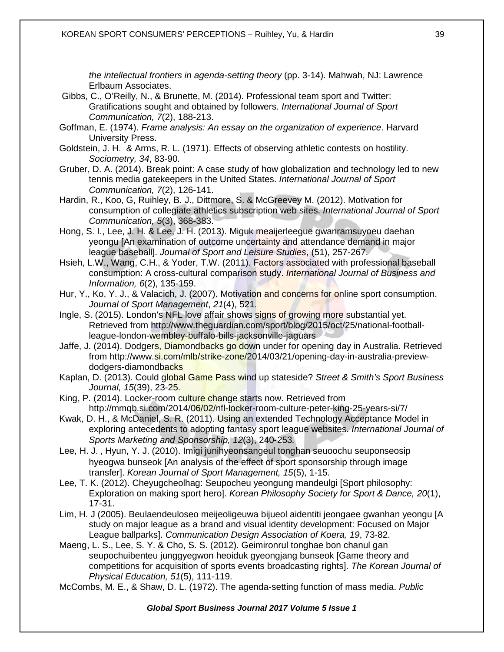*the intellectual frontiers in agenda-setting theory* (pp. 3-14). Mahwah, NJ: Lawrence Erlbaum Associates.

- Gibbs, C., O'Reilly, N., & Brunette, M. (2014). Professional team sport and Twitter: Gratifications sought and obtained by followers. *International Journal of Sport Communication, 7*(2), 188-213.
- Goffman, E. (1974). *Frame analysis: An essay on the organization of experience*. Harvard University Press.
- Goldstein, J. H. & Arms, R. L. (1971). Effects of observing athletic contests on hostility. *Sociometry, 34*, 83-90.
- Gruber, D. A. (2014). Break point: A case study of how globalization and technology led to new tennis media gatekeepers in the United States. *International Journal of Sport Communication, 7*(2), 126-141.
- Hardin, R., Koo, G, Ruihley, B. J., Dittmore, S. & McGreevey M. (2012). Motivation for consumption of collegiate athletics subscription web sites. *International Journal of Sport Communication, 5*(3), 368-383.
- Hong, S. I., Lee, J. H. & Lee, J. H. (2013). Miguk meaijerleegue gwanramsuyoeu daehan yeongu [An examination of outcome uncertainty and attendance demand in major league baseball]. *Journal of Sport and Leisure Studies*, (51), 257-267.
- Hsieh, L.W., Wang, C.H., & Yoder, T.W. (2011). Factors associated with professional baseball consumption: A cross-cultural comparison study. *International Journal of Business and Information, 6*(2), 135-159.
- Hur, Y., Ko, Y. J., & Valacich, J. (2007). Motivation and concerns for online sport consumption. *Journal of Sport Management*, *21*(4), 521.
- Ingle, S. (2015). London's NFL love affair shows signs of growing more substantial yet. Retrieved from http://www.theguardian.com/sport/blog/2015/oct/25/national-footballleague-london-wembley-buffalo-bills-jacksonville-jaguars
- Jaffe, J. (2014). Dodgers, Diamondbacks go down under for opening day in Australia. Retrieved from http://www.si.com/mlb/strike-zone/2014/03/21/opening-day-in-australia-previewdodgers-diamondbacks
- Kaplan, D. (2013). Could global Game Pass wind up stateside? *Street & Smith's Sport Business Journal, 15*(39), 23-25.
- King, P. (2014). Locker-room culture change starts now. Retrieved from http://mmqb.si.com/2014/06/02/nfl-locker-room-culture-peter-king-25-years-si/7/
- Kwak, D. H., & McDaniel, S. R. (2011). Using an extended Technology Acceptance Model in exploring antecedents to adopting fantasy sport league websites. *International Journal of Sports Marketing and Sponsorship, 12*(3), 240‐253*.*
- Lee, H. J․, Hyun, Y. J. (2010). Imigi junihyeonsangeul tonghan seuoochu seuponseosip hyeogwa bunseok [An analysis of the effect of sport sponsorship through image transfer]. *Korean Journal of Sport Management, 15*(5), 1-15.
- Lee, T. K. (2012). Cheyugcheolhag: Seupocheu yeongung mandeulgi [Sport philosophy: Exploration on making sport hero]. *Korean Philosophy Society for Sport & Dance, 20*(1), 17-31.
- Lim, H. J (2005). Beulaendeuloseo meijeoligeuwa bijueol aidentiti jeongaee gwanhan yeongu [A study on major league as a brand and visual identity development: Focused on Major League ballparks]. *Communication Design Association of Koera, 19*, 73-82.
- Maeng, L. S., Lee, S. Y. & Cho, S. S. (2012). Geimironrul tonghae bon chanul gan seupochuibenteu junggyegwon heoiduk gyeongjang bunseok [Game theory and competitions for acquisition of sports events broadcasting rights]. *The Korean Journal of Physical Education, 51*(5), 111-119.
- McCombs, M. E., & Shaw, D. L. (1972). The agenda-setting function of mass media. *Public*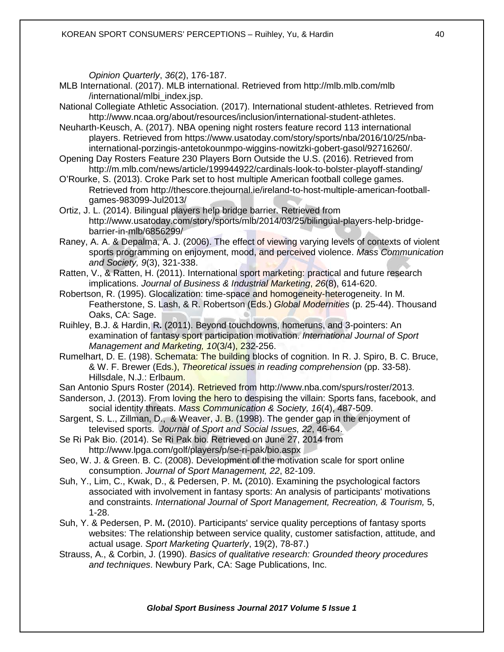*Opinion Quarterly*, *36*(2), 176-187.

- MLB International. (2017). MLB international. Retrieved from http://mlb.mlb.com/mlb /international/mlbi\_index.jsp.
- National Collegiate Athletic Association. (2017). International student-athletes. Retrieved from http://www.ncaa.org/about/resources/inclusion/international-student-athletes.
- Neuharth-Keusch, A. (2017). NBA opening night rosters feature record 113 international players. Retrieved from https://www.usatoday.com/story/sports/nba/2016/10/25/nbainternational-porzingis-antetokounmpo-wiggins-nowitzki-gobert-gasol/92716260/.
- Opening Day Rosters Feature 230 Players Born Outside the U.S. (2016). Retrieved from http://m.mlb.com/news/article/199944922/cardinals-look-to-bolster-playoff-standing/
- O'Rourke, S. (2013). Croke Park set to host multiple American football college games. Retrieved from http://thescore.thejournal.ie/ireland-to-host-multiple-american-footballgames-983099-Jul2013/
- Ortiz, J. L. (2014). Bilingual players help bridge barrier. Retrieved from http://www.usatoday.com/story/sports/mlb/2014/03/25/bilingual-players-help-bridgebarrier-in-mlb/6856299/
- Raney, A. A. & Depalma, A. J. (2006). The effect of viewing varying levels of contexts of violent sports programming on enjoyment, mood, and perceived violence. *Mass Communication and Society, 9*(3), 321-338.
- Ratten, V., & Ratten, H. (2011). International sport marketing: practical and future research implications. *Journal of Business & Industrial Marketing*, *26*(8), 614-620.
- Robertson, R. (1995). Glocalization: time-space and homogeneity-heterogeneity. In M. Featherstone, S. Lash, & R. Robertson (Eds.) *Global Modernities* (p. 25-44). Thousand Oaks, CA: Sage.
- Ruihley, B.J. & Hardin, R**.** (2011). Beyond touchdowns, homeruns, and 3-pointers: An examination of fantasy sport participation motivation. *International Journal of Sport Management and Marketing, 10*(3/4), 232-256.
- Rumelhart, D. E. (198). Schemata: The building blocks of cognition. In R. J. Spiro, B. C. Bruce. & W. F. Brewer (Eds.), *Theoretical issues in reading comprehension* (pp. 33-58). Hillsdale, N.J.: Erlbaum.
- San Antonio Spurs Roster (2014). Retrieved from http://www.nba.com/spurs/roster/2013.
- Sanderson, J. (2013). From loving the hero to despising the villain: Sports fans, facebook, and social identity threats. *Mass Communication & Society, 16*(4), 487-509.
- Sargent, S. L., Zillman, D., & Weaver, J. B. (1998). The gender gap in the enjoyment of televised sports. *Journal of Sport and Social Issues, 22*, 46-64.
- Se Ri Pak Bio. (2014). Se Ri Pak bio. Retrieved on June 27, 2014 from http://www.lpga.com/golf/players/p/se-ri-pak/bio.aspx
- Seo, W. J. & Green. B. C. (2008). Development of the motivation scale for sport online consumption. *Journal of Sport Management, 22*, 82-109.
- Suh, Y., Lim, C., Kwak, D., & Pedersen, P. M**.** (2010). Examining the psychological factors associated with involvement in fantasy sports: An analysis of participants' motivations and constraints. *International Journal of Sport Management, Recreation, & Tourism,* 5, 1-28.
- Suh, Y. & Pedersen, P. M**.** (2010). Participants' service quality perceptions of fantasy sports websites: The relationship between service quality, customer satisfaction, attitude, and actual usage. *Sport Marketing Quarterly*, 19(2), 78-87.)
- Strauss, A., & Corbin, J. (1990). *Basics of qualitative research: Grounded theory procedures and techniques*. Newbury Park, CA: Sage Publications, Inc.